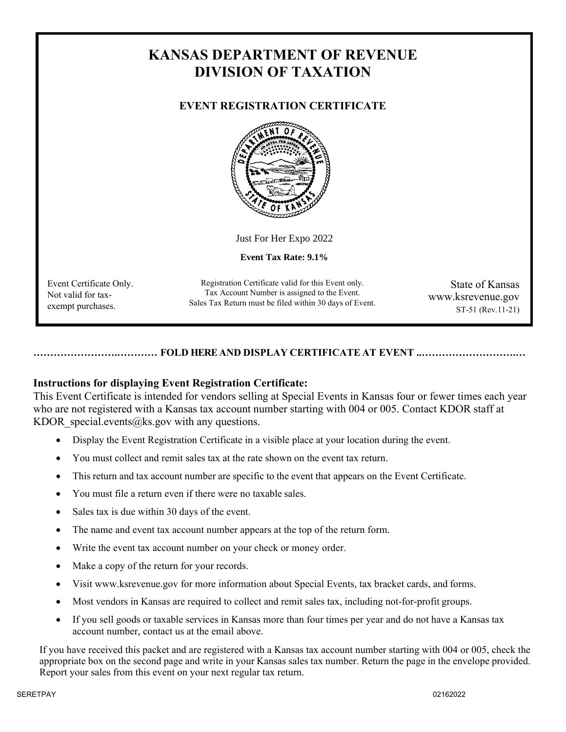# **KANSAS DEPARTMENT OF REVENUE DIVISION OF TAXATION**

# **EVENT REGISTRATION CERTIFICATE**



Just For Her Expo 2022

**Event Tax Rate: 9.1%**

Event Certificate Only. Not valid for taxexempt purchases.

Registration Certificate valid for this Event only. Tax Account Number is assigned to the Event. Sales Tax Return must be filed within 30 days of Event.

State of Kansas www.ksrevenue.gov ST-51 (Rev.11-21)

## **…………………….………… FOLD HERE AND DISPLAY CERTIFICATE AT EVENT ..……………………….…**

# **Instructions for displaying Event Registration Certificate:**

This Event Certificate is intended for vendors selling at Special Events in Kansas four or fewer times each year who are not registered with a Kansas tax account number starting with 004 or 005. Contact KDOR staff at KDOR special.events@ks.gov with any questions.

- Display the Event Registration Certificate in a visible place at your location during the event.
- You must collect and remit sales tax at the rate shown on the event tax return.
- This return and tax account number are specific to the event that appears on the Event Certificate.
- You must file a return even if there were no taxable sales.
- Sales tax is due within 30 days of the event.
- The name and event tax account number appears at the top of the return form.
- Write the event tax account number on your check or money order.
- Make a copy of the return for your records.
- Visit [www.ksrevenue.](http://www.ksrevenue.org/)gov for more information about Special Events, tax bracket cards, and forms.
- Most vendors in Kansas are required to collect and remit sales tax, including not-for-profit groups.
- If you sell goods or taxable services in Kansas more than four times per year and do not have a Kansas tax account number, contact us at the email above.

If you have received this packet and are registered with a Kansas tax account number starting with 004 or 005, check the appropriate box on the second page and write in your Kansas sales tax number. Return the page in the envelope provided. Report your sales from this event on your next regular tax return.